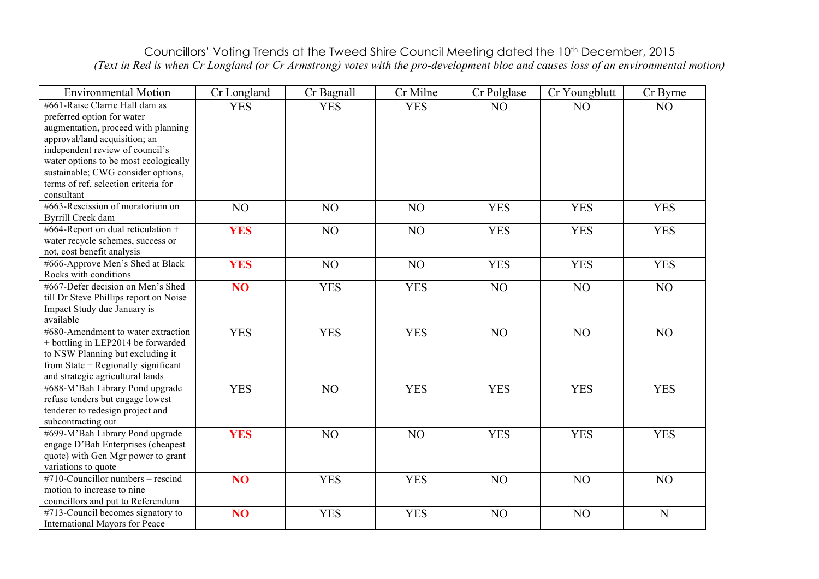## Councillors' Voting Trends at the Tweed Shire Council Meeting dated the 10<sup>th</sup> December, 2015 *(Text in Red is when Cr Longland (or Cr Armstrong) votes with the pro-development bloc and causes loss of an environmental motion)*

| <b>Environmental Motion</b>                                          | Cr Longland     | Cr Bagnall | Cr Milne   | Cr Polglase | Cr Youngblutt | Cr Byrne    |
|----------------------------------------------------------------------|-----------------|------------|------------|-------------|---------------|-------------|
| #661-Raise Clarrie Hall dam as                                       | <b>YES</b>      | <b>YES</b> | <b>YES</b> | NO          | NO            | NO          |
| preferred option for water                                           |                 |            |            |             |               |             |
| augmentation, proceed with planning                                  |                 |            |            |             |               |             |
| approval/land acquisition; an                                        |                 |            |            |             |               |             |
| independent review of council's                                      |                 |            |            |             |               |             |
| water options to be most ecologically                                |                 |            |            |             |               |             |
| sustainable; CWG consider options,                                   |                 |            |            |             |               |             |
| terms of ref, selection criteria for                                 |                 |            |            |             |               |             |
| consultant<br>#663-Rescission of moratorium on                       |                 |            |            |             |               |             |
| <b>Byrrill Creek dam</b>                                             | NO              | NO         | NO         | <b>YES</b>  | <b>YES</b>    | <b>YES</b>  |
| #664-Report on dual reticulation +                                   |                 |            |            |             |               |             |
| water recycle schemes, success or                                    | <b>YES</b>      | NO         | NO         | <b>YES</b>  | <b>YES</b>    | <b>YES</b>  |
| not, cost benefit analysis                                           |                 |            |            |             |               |             |
| #666-Approve Men's Shed at Black                                     | <b>YES</b>      | NO         | NO         | <b>YES</b>  | <b>YES</b>    | <b>YES</b>  |
| Rocks with conditions                                                |                 |            |            |             |               |             |
| #667-Defer decision on Men's Shed                                    | N <sub>O</sub>  | <b>YES</b> | <b>YES</b> | NO          | NO            | NO          |
| till Dr Steve Phillips report on Noise                               |                 |            |            |             |               |             |
| Impact Study due January is                                          |                 |            |            |             |               |             |
| available                                                            |                 |            |            |             |               |             |
| #680-Amendment to water extraction                                   | <b>YES</b>      | <b>YES</b> | <b>YES</b> | NO          | NO            | NO          |
| + bottling in LEP2014 be forwarded                                   |                 |            |            |             |               |             |
| to NSW Planning but excluding it                                     |                 |            |            |             |               |             |
| from State + Regionally significant                                  |                 |            |            |             |               |             |
| and strategic agricultural lands                                     |                 |            |            |             |               |             |
| #688-M'Bah Library Pond upgrade                                      | <b>YES</b>      | NO         | <b>YES</b> | <b>YES</b>  | <b>YES</b>    | <b>YES</b>  |
| refuse tenders but engage lowest<br>tenderer to redesign project and |                 |            |            |             |               |             |
| subcontracting out                                                   |                 |            |            |             |               |             |
| #699-M'Bah Library Pond upgrade                                      | <b>YES</b>      | NO         | NO         | <b>YES</b>  | <b>YES</b>    | <b>YES</b>  |
| engage D'Bah Enterprises (cheapest                                   |                 |            |            |             |               |             |
| quote) with Gen Mgr power to grant                                   |                 |            |            |             |               |             |
| variations to quote                                                  |                 |            |            |             |               |             |
| #710-Councillor numbers - rescind                                    | NO <sub>1</sub> | <b>YES</b> | <b>YES</b> | NO          | NO            | NO          |
| motion to increase to nine                                           |                 |            |            |             |               |             |
| councillors and put to Referendum                                    |                 |            |            |             |               |             |
| #713-Council becomes signatory to                                    | NO <sub>1</sub> | <b>YES</b> | <b>YES</b> | NO          | NO            | $\mathbf N$ |
| International Mayors for Peace                                       |                 |            |            |             |               |             |